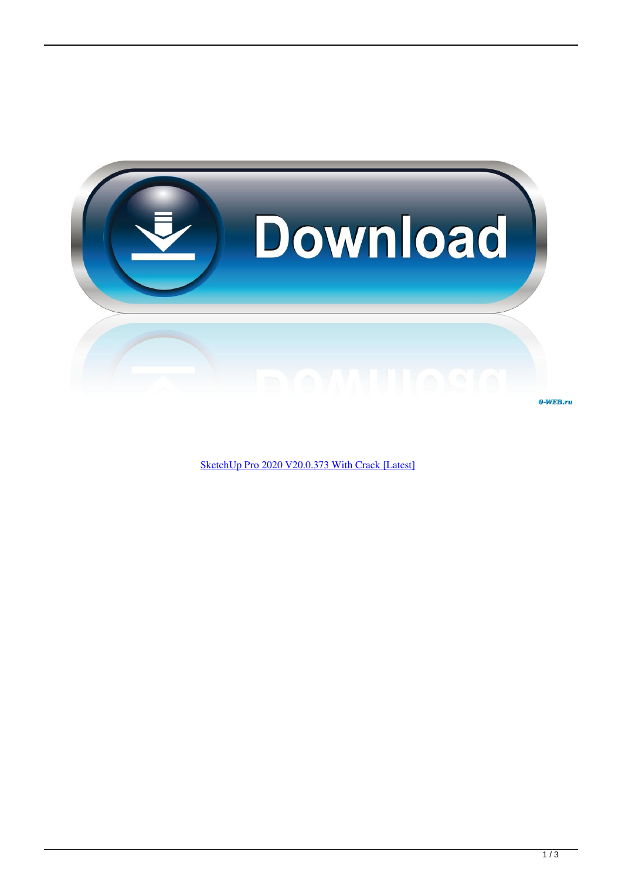

[SketchUp Pro 2020 V20.0.373 With Crack \[Latest\]](http://evacdir.com/ambient/ashphalt/disempowerment.polihua/ZG93bmxvYWR8M3JuTXpOeFpUWTRmSHd4TlRnMU5UazVNekEyZkh3eU16STNmSHdvUlU1SFNVNUZLU0JFY25Wd1lXd2dXMFpwYkdVZ1ZYQnNiMkZrWFE=U2tldGNoVXAgUHJvIDIwMjAgdjIwLjAuMzczIFdpdGggQ3JhY2sgW0xhdGVzdF0U2t.ingests.magpie)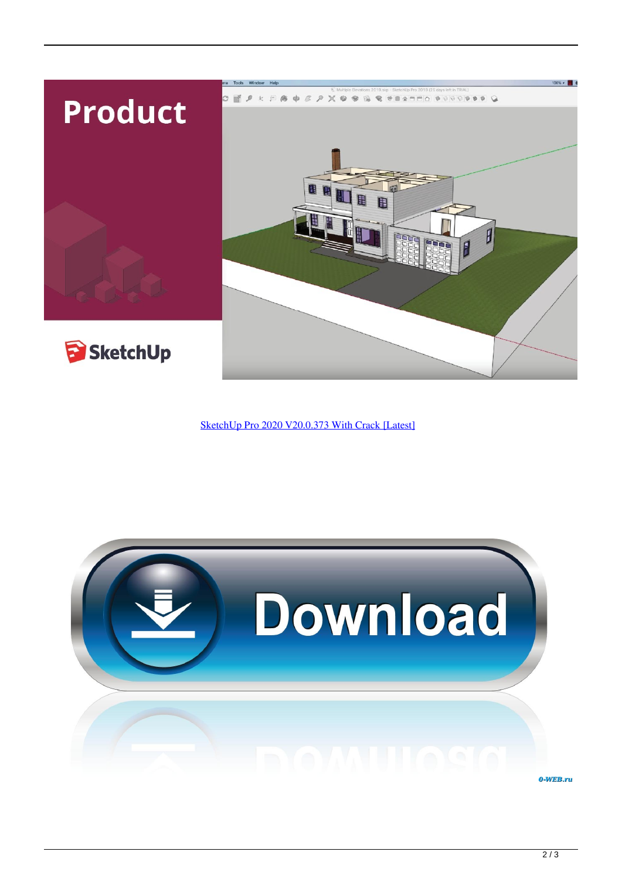

[SketchUp Pro 2020 V20.0.373 With Crack \[Latest\]](http://evacdir.com/ambient/ashphalt/disempowerment.polihua/ZG93bmxvYWR8M3JuTXpOeFpUWTRmSHd4TlRnMU5UazVNekEyZkh3eU16STNmSHdvUlU1SFNVNUZLU0JFY25Wd1lXd2dXMFpwYkdVZ1ZYQnNiMkZrWFE=U2tldGNoVXAgUHJvIDIwMjAgdjIwLjAuMzczIFdpdGggQ3JhY2sgW0xhdGVzdF0U2t.ingests.magpie)